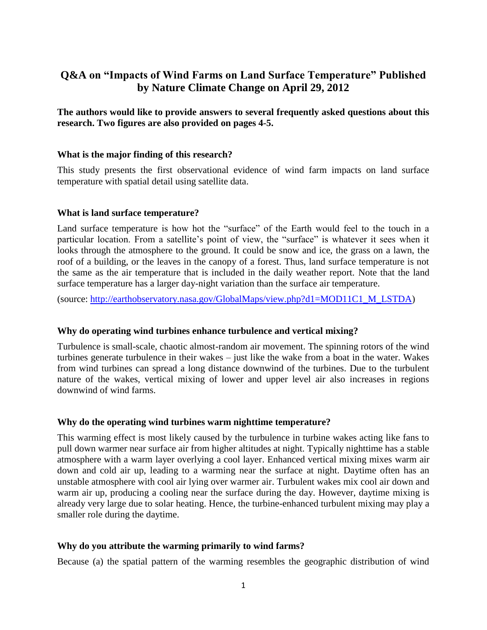# **Q&A on "Impacts of Wind Farms on Land Surface Temperature" Published by Nature Climate Change on April 29, 2012**

**The authors would like to provide answers to several frequently asked questions about this research. Two figures are also provided on pages 4-5.**

#### **What is the major finding of this research?**

This study presents the first observational evidence of wind farm impacts on land surface temperature with spatial detail using satellite data.

#### **What is land surface temperature?**

Land surface temperature is how hot the "surface" of the Earth would feel to the touch in a particular location. From a satellite's point of view, the "surface" is whatever it sees when it looks through the atmosphere to the ground. It could be snow and ice, the grass on a lawn, the roof of a building, or the leaves in the canopy of a forest. Thus, land surface temperature is not the same as the air temperature that is included in the daily weather report. Note that the land surface temperature has a larger day-night variation than the surface air temperature.

(source: [http://earthobservatory.nasa.gov/GlobalMaps/view.php?d1=MOD11C1\\_M\\_LSTDA\)](http://earthobservatory.nasa.gov/GlobalMaps/view.php?d1=MOD11C1_M_LSTDA)

### **Why do operating wind turbines enhance turbulence and vertical mixing?**

Turbulence is small-scale, chaotic almost-random air movement. The spinning rotors of the wind turbines generate turbulence in their wakes – just like the wake from a boat in the water. Wakes from wind turbines can spread a long distance downwind of the turbines. Due to the turbulent nature of the wakes, vertical mixing of lower and upper level air also increases in regions downwind of wind farms.

### **Why do the operating wind turbines warm nighttime temperature?**

This warming effect is most likely caused by the turbulence in turbine wakes acting like fans to pull down warmer near surface air from higher altitudes at night. Typically nighttime has a stable atmosphere with a warm layer overlying a cool layer. Enhanced vertical mixing mixes warm air down and cold air up, leading to a warming near the surface at night. Daytime often has an unstable atmosphere with cool air lying over warmer air. Turbulent wakes mix cool air down and warm air up, producing a cooling near the surface during the day. However, daytime mixing is already very large due to solar heating. Hence, the turbine-enhanced turbulent mixing may play a smaller role during the daytime.

### **Why do you attribute the warming primarily to wind farms?**

Because (a) the spatial pattern of the warming resembles the geographic distribution of wind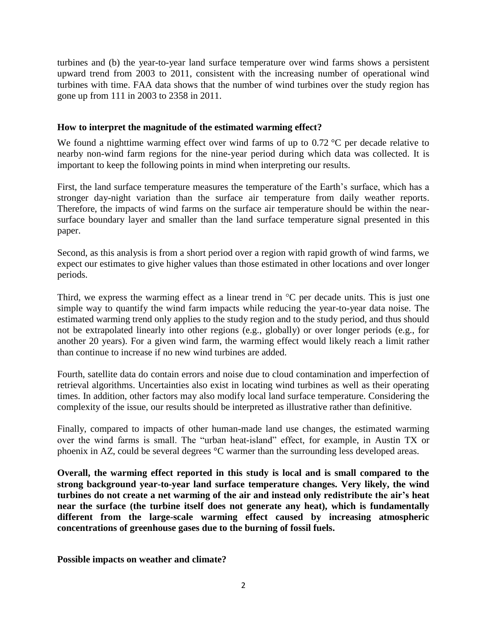turbines and (b) the year-to-year land surface temperature over wind farms shows a persistent upward trend from 2003 to 2011, consistent with the increasing number of operational wind turbines with time. FAA data shows that the number of wind turbines over the study region has gone up from 111 in 2003 to 2358 in 2011.

### **How to interpret the magnitude of the estimated warming effect?**

We found a nighttime warming effect over wind farms of up to 0.72 °C per decade relative to nearby non-wind farm regions for the nine-year period during which data was collected. It is important to keep the following points in mind when interpreting our results.

First, the land surface temperature measures the temperature of the Earth's surface, which has a stronger day-night variation than the surface air temperature from daily weather reports. Therefore, the impacts of wind farms on the surface air temperature should be within the nearsurface boundary layer and smaller than the land surface temperature signal presented in this paper.

Second, as this analysis is from a short period over a region with rapid growth of wind farms, we expect our estimates to give higher values than those estimated in other locations and over longer periods.

Third, we express the warming effect as a linear trend in  $\mathrm{C}$  per decade units. This is just one simple way to quantify the wind farm impacts while reducing the year-to-year data noise. The estimated warming trend only applies to the study region and to the study period, and thus should not be extrapolated linearly into other regions (e.g., globally) or over longer periods (e.g., for another 20 years). For a given wind farm, the warming effect would likely reach a limit rather than continue to increase if no new wind turbines are added.

Fourth, satellite data do contain errors and noise due to cloud contamination and imperfection of retrieval algorithms. Uncertainties also exist in locating wind turbines as well as their operating times. In addition, other factors may also modify local land surface temperature. Considering the complexity of the issue, our results should be interpreted as illustrative rather than definitive.

Finally, compared to impacts of other human-made land use changes, the estimated warming over the wind farms is small. The "urban heat-island" effect, for example, in Austin TX or phoenix in AZ, could be several degrees °C warmer than the surrounding less developed areas.

**Overall, the warming effect reported in this study is local and is small compared to the strong background year-to-year land surface temperature changes. Very likely, the wind turbines do not create a net warming of the air and instead only redistribute the air's heat near the surface (the turbine itself does not generate any heat), which is fundamentally different from the large-scale warming effect caused by increasing atmospheric concentrations of greenhouse gases due to the burning of fossil fuels.**

**Possible impacts on weather and climate?**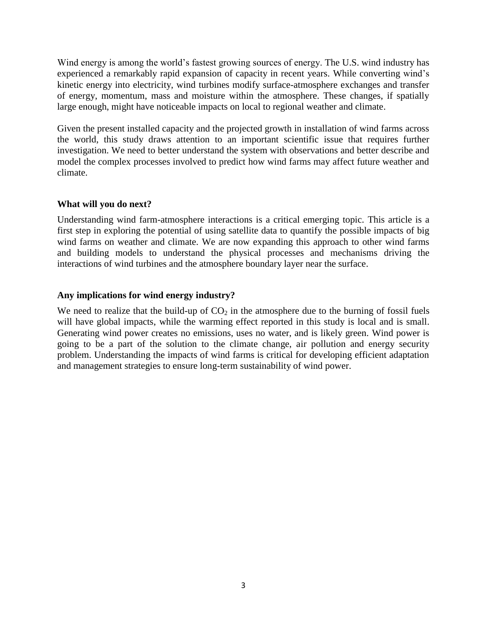Wind energy is among the world's fastest growing sources of energy. The U.S. wind industry has experienced a remarkably rapid expansion of capacity in recent years. While converting wind's kinetic energy into electricity, wind turbines modify surface-atmosphere exchanges and transfer of energy, momentum, mass and moisture within the atmosphere. These changes, if spatially large enough, might have noticeable impacts on local to regional weather and climate.

Given the present installed capacity and the projected growth in installation of wind farms across the world, this study draws attention to an important scientific issue that requires further investigation. We need to better understand the system with observations and better describe and model the complex processes involved to predict how wind farms may affect future weather and climate.

## **What will you do next?**

Understanding wind farm-atmosphere interactions is a critical emerging topic. This article is a first step in exploring the potential of using satellite data to quantify the possible impacts of big wind farms on weather and climate. We are now expanding this approach to other wind farms and building models to understand the physical processes and mechanisms driving the interactions of wind turbines and the atmosphere boundary layer near the surface.

### **Any implications for wind energy industry?**

We need to realize that the build-up of  $CO<sub>2</sub>$  in the atmosphere due to the burning of fossil fuels will have global impacts, while the warming effect reported in this study is local and is small. Generating wind power creates no emissions, uses no water, and is likely green. Wind power is going to be a part of the solution to the climate change, air pollution and energy security problem. Understanding the impacts of wind farms is critical for developing efficient adaptation and management strategies to ensure long-term sustainability of wind power.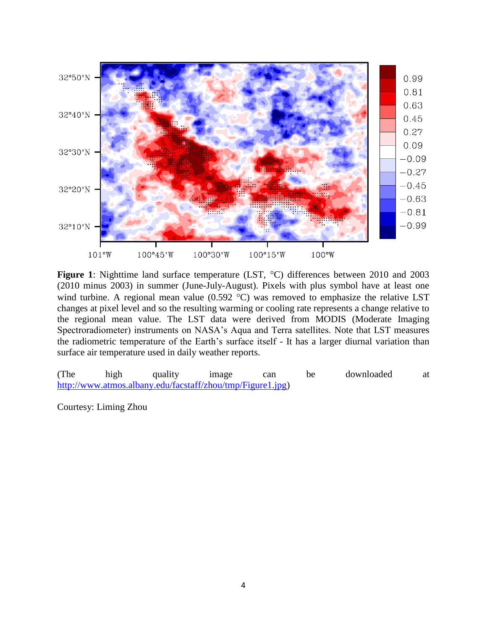

**Figure 1**: Nighttime land surface temperature (LST, °C) differences between 2010 and 2003 (2010 minus 2003) in summer (June-July-August). Pixels with plus symbol have at least one wind turbine. A regional mean value  $(0.592 \text{ °C})$  was removed to emphasize the relative LST changes at pixel level and so the resulting warming or cooling rate represents a change relative to the regional mean value. The LST data were derived from MODIS (Moderate Imaging Spectroradiometer) instruments on NASA's Aqua and Terra satellites. Note that LST measures the radiometric temperature of the Earth's surface itself - It has a larger diurnal variation than surface air temperature used in daily weather reports.

(The high quality image can be downloaded at [http://www.atmos.albany.edu/facstaff/zhou/tmp/Figure1.jpg\)](http://www.atmos.albany.edu/facstaff/zhou/tmp/Figure1.jpg)

Courtesy: Liming Zhou